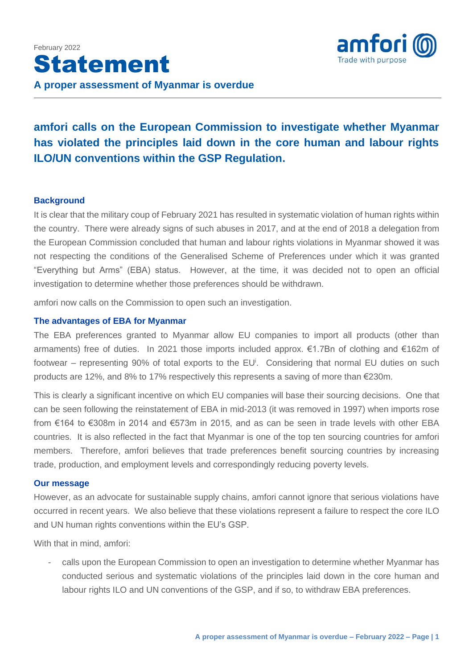

## **amfori calls on the European Commission to investigate whether Myanmar has violated the principles laid down in the core human and labour rights ILO/UN conventions within the GSP Regulation.**

## **Background**

It is clear that the military coup of February 2021 has resulted in systematic violation of human rights within the country. There were already signs of such abuses in 2017, and at the end of 2018 a delegation from the European Commission concluded that human and labour rights violations in Myanmar showed it was not respecting the conditions of the Generalised Scheme of Preferences under which it was granted "Everything but Arms" (EBA) status. However, at the time, it was decided not to open an official investigation to determine whether those preferences should be withdrawn.

amfori now calls on the Commission to open such an investigation.

## **The advantages of EBA for Myanmar**

The EBA preferences granted to Myanmar allow EU companies to import all products (other than armaments) free of duties. In 2021 those imports included approx. €1.7Bn of clothing and €162m of footwear – representing 90% of total exports to the EU<sup>i</sup>. Considering that normal EU duties on such products are 12%, and 8% to 17% respectively this represents a saving of more than €230m.

This is clearly a significant incentive on which EU companies will base their sourcing decisions. One that can be seen following the reinstatement of EBA in mid-2013 (it was removed in 1997) when imports rose from €164 to €308m in 2014 and €573m in 2015, and as can be seen in trade levels with other EBA countries. It is also reflected in the fact that Myanmar is one of the top ten sourcing countries for amfori members. Therefore, amfori believes that trade preferences benefit sourcing countries by increasing trade, production, and employment levels and correspondingly reducing poverty levels.

## **Our message**

However, as an advocate for sustainable supply chains, amfori cannot ignore that serious violations have occurred in recent years. We also believe that these violations represent a failure to respect the core ILO and UN human rights conventions within the EU's GSP.

With that in mind, amfori:

calls upon the European Commission to open an investigation to determine whether Myanmar has conducted serious and systematic violations of the principles laid down in the core human and labour rights ILO and UN conventions of the GSP, and if so, to withdraw EBA preferences.